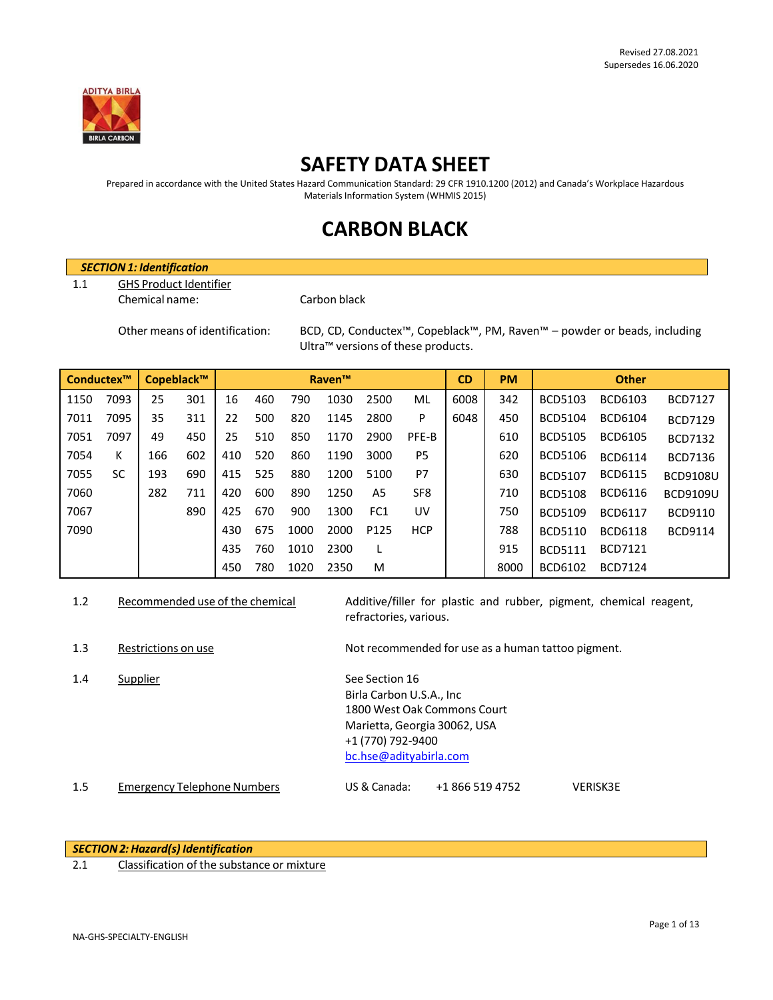

# **SAFETY DATA SHEET**

Prepared in accordance with the United States Hazard Communication Standard: 29 CFR 1910.1200 (2012) and Canada's Workplace Hazardous Materials Information System (WHMIS 2015)

# **CARBON BLACK**

# *SECTION1: Identification*

1.1 GHS Product Identifier

### Chemical name: Carbon black

Other means of identification: BCD, CD, Conductex™, Copeblack™, PM, Raven™ – powder or beads, including Ultra™ versions of these products.

| Conductex™ |      | Copeblack™ |     |     |     |      | <b>Raven™</b> |                  |                 | <b>CD</b> | <b>PM</b> |                | <b>Other</b>   |                 |
|------------|------|------------|-----|-----|-----|------|---------------|------------------|-----------------|-----------|-----------|----------------|----------------|-----------------|
| 1150       | 7093 | 25         | 301 | 16  | 460 | 790  | 1030          | 2500             | ML              | 6008      | 342       | <b>BCD5103</b> | BCD6103        | <b>BCD7127</b>  |
| 7011       | 7095 | 35         | 311 | 22  | 500 | 820  | 1145          | 2800             | P               | 6048      | 450       | <b>BCD5104</b> | BCD6104        | <b>BCD7129</b>  |
| 7051       | 7097 | 49         | 450 | 25  | 510 | 850  | 1170          | 2900             | PFE-B           |           | 610       | <b>BCD5105</b> | <b>BCD6105</b> | <b>BCD7132</b>  |
| 7054       | K    | 166        | 602 | 410 | 520 | 860  | 1190          | 3000             | P <sub>5</sub>  |           | 620       | BCD5106        | <b>BCD6114</b> | <b>BCD7136</b>  |
| 7055       | SC   | 193        | 690 | 415 | 525 | 880  | 1200          | 5100             | P7              |           | 630       | <b>BCD5107</b> | <b>BCD6115</b> | <b>BCD9108U</b> |
| 7060       |      | 282        | 711 | 420 | 600 | 890  | 1250          | A5               | SF <sub>8</sub> |           | 710       | <b>BCD5108</b> | BCD6116        | <b>BCD9109U</b> |
| 7067       |      |            | 890 | 425 | 670 | 900  | 1300          | FC <sub>1</sub>  | UV              |           | 750       | <b>BCD5109</b> | <b>BCD6117</b> | BCD9110         |
| 7090       |      |            |     | 430 | 675 | 1000 | 2000          | P <sub>125</sub> | <b>HCP</b>      |           | 788       | <b>BCD5110</b> | <b>BCD6118</b> | <b>BCD9114</b>  |
|            |      |            |     | 435 | 760 | 1010 | 2300          |                  |                 |           | 915       | <b>BCD5111</b> | <b>BCD7121</b> |                 |
|            |      |            |     | 450 | 780 | 1020 | 2350          | M                |                 |           | 8000      | BCD6102        | <b>BCD7124</b> |                 |

- 1.2 Recommended use of the chemical Additive/filler for plastic and rubber, pigment, chemical reagent, refractories, various.
- 1.3 Restrictions on use Not recommended for use as a human tattoo pigment.

1.4 Supplier See Section 16

Birla Carbon U.S.A., Inc 1800 West Oak Commons Court Marietta, Georgia 30062, USA +1 (770) 792-9400 [bc.hse@adityabirla.com](mailto:bc.hse@adityabirla.com)

1.5 Emergency Telephone Numbers US & Canada: +1 866 519 4752 VERISK3E

*SECTION2:Hazard(s) Identification*

2.1 Classification of the substance or mixture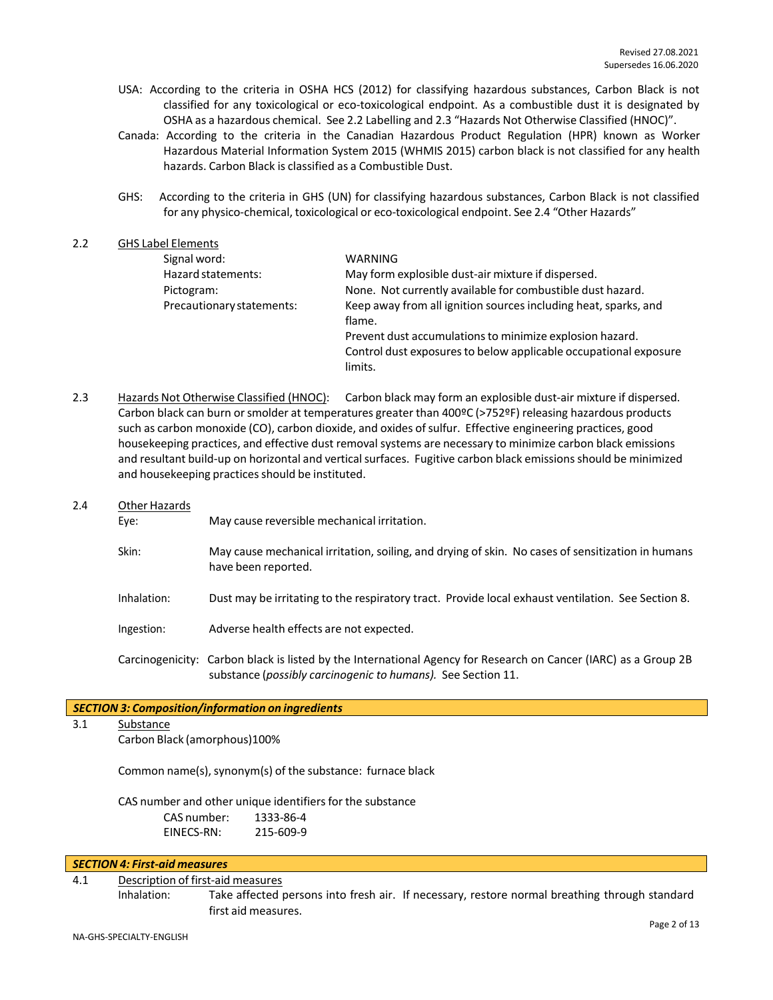- USA: According to the criteria in OSHA HCS (2012) for classifying hazardous substances, Carbon Black is not classified for any toxicological or eco-toxicological endpoint. As a combustible dust it is designated by OSHA as a hazardous chemical. See 2.2 Labelling and 2.3 "Hazards Not Otherwise Classified (HNOC)".
- Canada: According to the criteria in the Canadian Hazardous Product Regulation (HPR) known as Worker Hazardous Material Information System 2015 (WHMIS 2015) carbon black is not classified for any health hazards. Carbon Black is classified as a Combustible Dust.
- GHS: According to the criteria in GHS (UN) for classifying hazardous substances, Carbon Black is not classified for any physico-chemical, toxicological or eco-toxicological endpoint. See 2.4 "Other Hazards"

#### 2.2 GHS Label Elements Signal word: Hazard statements: WARNING May form explosible dust-air mixture if dispersed. Pictogram: None. Not currently available for combustible dust hazard. Precautionary statements: Keep away from all ignition sources including heat, sparks, and flame. Prevent dust accumulations to minimize explosion hazard. Control dust exposures to below applicable occupational exposure limits.

- 2.3 Hazards Not Otherwise Classified (HNOC): Carbon black may form an explosible dust-air mixture if dispersed. Carbon black can burn or smolder at temperatures greater than 400ºC (>752ºF) releasing hazardous products such as carbon monoxide (CO), carbon dioxide, and oxides of sulfur. Effective engineering practices, good housekeeping practices, and effective dust removal systems are necessary to minimize carbon black emissions and resultant build-up on horizontal and vertical surfaces. Fugitive carbon black emissions should be minimized and housekeeping practices should be instituted.
- 2.4 Other Hazards
	- Eye: May cause reversible mechanical irritation.
	- Skin: May cause mechanical irritation, soiling, and drying of skin. No cases of sensitization in humans have been reported.
	- Inhalation: Dust may be irritating to the respiratory tract. Provide local exhaust ventilation. See Section 8.
	- Ingestion: Adverse health effects are not expected.
	- Carcinogenicity: Carbon black is listed by the International Agency for Research on Cancer (IARC) as a Group 2B substance (*possibly carcinogenic to humans).* See Section 11.

## *SECTION 3: Composition/information on ingredients*

3.1 Substance

Carbon Black (amorphous)100%

Common name(s), synonym(s) of the substance: furnace black

CAS number and other unique identifiers for the substance CAS number: 1333-86-4<br>EINECS-RN: 215-609-9 EINECS-RN:

#### *SECTION 4: First-aid measures*

#### 4.1 Description of first-aid measures

Inhalation: Take affected persons into fresh air. If necessary, restore normal breathing through standard first aid measures.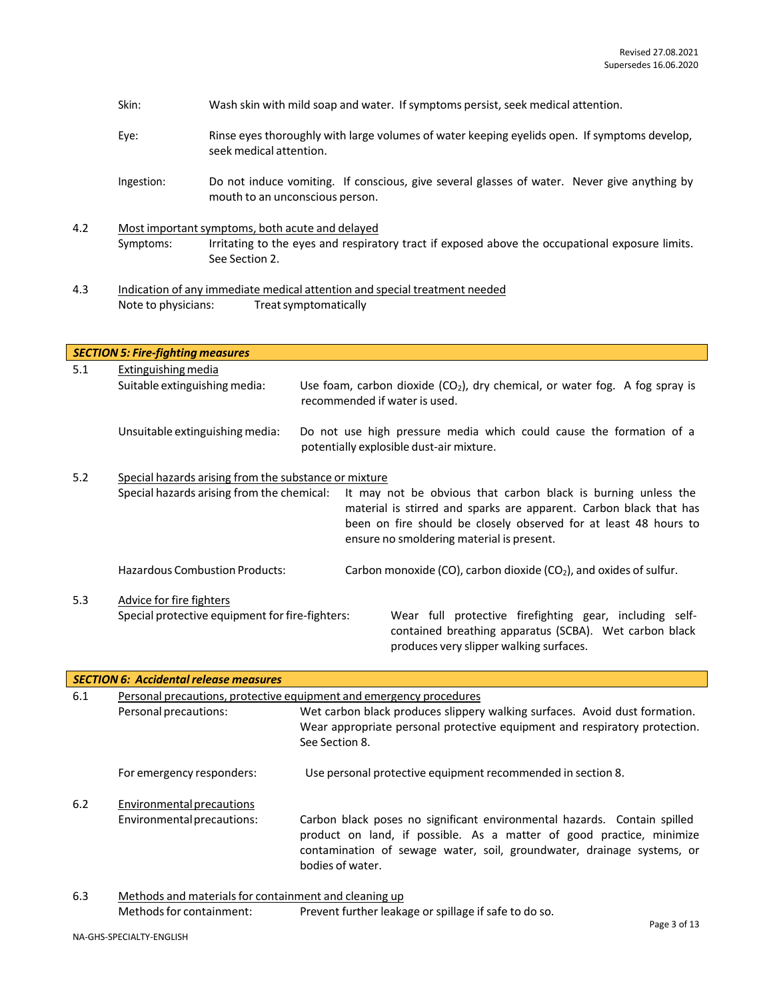|     | Eye:                                                 | Rinse eyes thoroughly with large volumes of water keeping eyelids open. If symptoms develop,<br>seek medical attention.                                              |  |  |  |  |  |
|-----|------------------------------------------------------|----------------------------------------------------------------------------------------------------------------------------------------------------------------------|--|--|--|--|--|
|     | Ingestion:                                           | Do not induce vomiting. If conscious, give several glasses of water. Never give anything by<br>mouth to an unconscious person.                                       |  |  |  |  |  |
| 4.2 | Symptoms:                                            | Most important symptoms, both acute and delayed<br>Irritating to the eyes and respiratory tract if exposed above the occupational exposure limits.<br>See Section 2. |  |  |  |  |  |
| 4.3 | Note to physicians:                                  | Indication of any immediate medical attention and special treatment needed<br>Treat symptomatically                                                                  |  |  |  |  |  |
|     | <b>SECTION 5: Fire-fighting measures</b>             |                                                                                                                                                                      |  |  |  |  |  |
| 5.1 | Extinguishing media<br>Suitable extinguishing media: | Use foam, carbon dioxide $(CO_2)$ , dry chemical, or water fog. A fog spray is<br>recommended if water is used.                                                      |  |  |  |  |  |

Skin: Wash skin with mild soap and water. If symptoms persist, seek medical attention.

Unsuitable extinguishing media: Do not use high pressure media which could cause the formation of a potentially explosible dust-air mixture.

5.2 Special hazards arising from the substance or mixture Special hazards arising from the chemical: It may not be obvious that carbon black is burning unless the material is stirred and sparks are apparent. Carbon black that has been on fire should be closely observed for at least 48 hours to ensure no smoldering material is present. Hazardous Combustion Products: Carbon monoxide (CO), carbon dioxide (CO<sub>2</sub>), and oxides of sulfur. 5.3 Advice for fire fighters Special protective equipment forfire-fighters: Wear full protective firefighting gear, including selfcontained breathing apparatus (SCBA). Wet carbon black produces very slipper walking surfaces.

|     | <b>SECTION 6: Accidental release measures</b>                       |                                                                                                                                                                                                                                                |  |  |  |
|-----|---------------------------------------------------------------------|------------------------------------------------------------------------------------------------------------------------------------------------------------------------------------------------------------------------------------------------|--|--|--|
| 6.1 | Personal precautions, protective equipment and emergency procedures |                                                                                                                                                                                                                                                |  |  |  |
|     | Personal precautions:                                               | Wet carbon black produces slippery walking surfaces. Avoid dust formation.<br>Wear appropriate personal protective equipment and respiratory protection.<br>See Section 8.                                                                     |  |  |  |
|     | For emergency responders:                                           | Use personal protective equipment recommended in section 8.                                                                                                                                                                                    |  |  |  |
| 6.2 | Environmental precautions                                           |                                                                                                                                                                                                                                                |  |  |  |
|     | Environmental precautions:                                          | Carbon black poses no significant environmental hazards. Contain spilled<br>product on land, if possible. As a matter of good practice, minimize<br>contamination of sewage water, soil, groundwater, drainage systems, or<br>bodies of water. |  |  |  |

6.3 Methods and materials for containment and cleaning up Methods for containment: Prevent further leakage or spillage if safe to do so.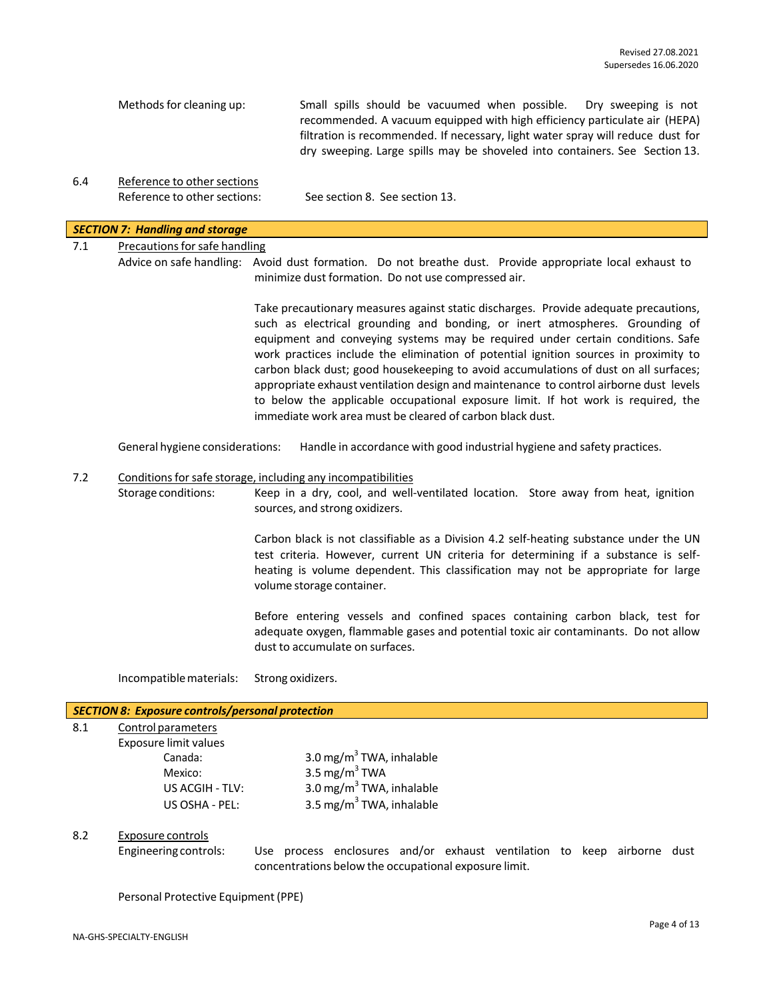| Methods for cleaning up: | Small spills should be vacuumed when possible. Dry sweeping is not<br>recommended. A vacuum equipped with high efficiency particulate air (HEPA)               |
|--------------------------|----------------------------------------------------------------------------------------------------------------------------------------------------------------|
|                          | filtration is recommended. If necessary, light water spray will reduce dust for<br>dry sweeping. Large spills may be shoveled into containers. See Section 13. |

6.4 Reference to other sections Reference to other sections: See section 8. See section 13.

#### *SECTION 7: Handling and storage*

# 7.1 Precautions for safe handling

Advice on safe handling: Avoid dust formation. Do not breathe dust. Provide appropriate local exhaust to minimize dust formation. Do not use compressed air.

> Take precautionary measures against static discharges. Provide adequate precautions, such as electrical grounding and bonding, or inert atmospheres. Grounding of equipment and conveying systems may be required under certain conditions. Safe work practices include the elimination of potential ignition sources in proximity to carbon black dust; good housekeeping to avoid accumulations of dust on all surfaces; appropriate exhaust ventilation design and maintenance to control airborne dust levels to below the applicable occupational exposure limit. If hot work is required, the immediate work area must be cleared of carbon black dust.

General hygiene considerations: Handle in accordance with good industrial hygiene and safety practices.

#### 7.2 Conditions for safe storage, including any incompatibilities

Storage conditions: Keep in a dry, cool, and well-ventilated location. Store away from heat, ignition sources, and strong oxidizers.

> Carbon black is not classifiable as a Division 4.2 self-heating substance under the UN test criteria. However, current UN criteria for determining if a substance is selfheating is volume dependent. This classification may not be appropriate for large volume storage container.

> Before entering vessels and confined spaces containing carbon black, test for adequate oxygen, flammable gases and potential toxic air contaminants. Do not allow dust to accumulate on surfaces.

Incompatiblematerials: Strong oxidizers.

#### *SECTION 8: Exposure controls/personal protection*

8.1 Control parameters

Exposure limit values

| Canada:         | 3.0 mg/m $3$ TWA, inhalable          |
|-----------------|--------------------------------------|
| Mexico:         | 3.5 mg/m $3$ TWA                     |
| US ACGIH - TLV: | 3.0 mg/m $3$ TWA, inhalable          |
| US OSHA - PEL:  | 3.5 mg/m <sup>3</sup> TWA, inhalable |
|                 |                                      |

# 8.2 Exposure controls

Engineering controls: Use process enclosures and/or exhaust ventilation to keep airborne dust concentrations below the occupational exposure limit.

Personal Protective Equipment (PPE)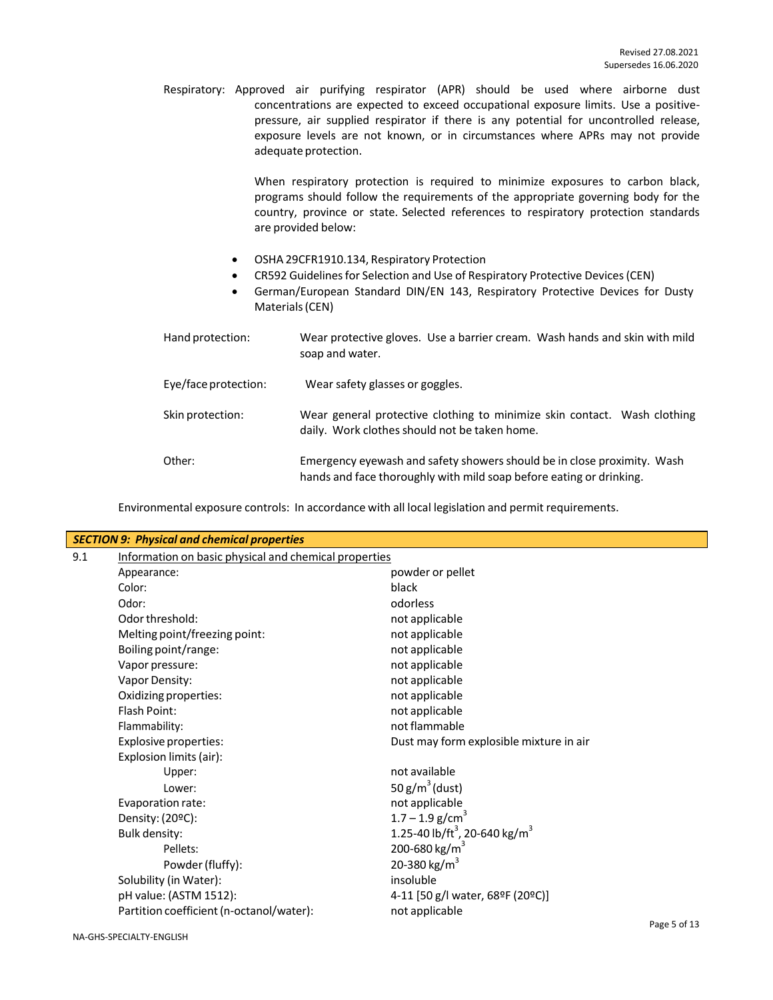Respiratory: Approved air purifying respirator (APR) should be used where airborne dust concentrations are expected to exceed occupational exposure limits. Use a positivepressure, air supplied respirator if there is any potential for uncontrolled release, exposure levels are not known, or in circumstances where APRs may not provide adequate protection.

> When respiratory protection is required to minimize exposures to carbon black, programs should follow the requirements of the appropriate governing body for the country, province or state. Selected references to respiratory protection standards are provided below:

- OSHA 29CFR1910.134, Respiratory Protection
- CR592 Guidelines for Selection and Use of Respiratory Protective Devices (CEN)
- German/European Standard DIN/EN 143, Respiratory Protective Devices for Dusty Materials(CEN)

| Hand protection:     | Wear protective gloves. Use a barrier cream. Wash hands and skin with mild<br>soap and water.                                                  |
|----------------------|------------------------------------------------------------------------------------------------------------------------------------------------|
| Eye/face protection: | Wear safety glasses or goggles.                                                                                                                |
| Skin protection:     | Wear general protective clothing to minimize skin contact. Wash clothing<br>daily. Work clothes should not be taken home.                      |
| Other:               | Emergency eyewash and safety showers should be in close proximity. Wash<br>hands and face thoroughly with mild soap before eating or drinking. |

Environmental exposure controls: In accordance with all local legislation and permit requirements.

|     | <b>SECTION 9: Physical and chemical properties</b>    |                                                       |  |  |  |
|-----|-------------------------------------------------------|-------------------------------------------------------|--|--|--|
| 9.1 | Information on basic physical and chemical properties |                                                       |  |  |  |
|     | Appearance:                                           | powder or pellet                                      |  |  |  |
|     | Color:                                                | black                                                 |  |  |  |
|     | Odor:                                                 | odorless                                              |  |  |  |
|     | Odor threshold:                                       | not applicable                                        |  |  |  |
|     | Melting point/freezing point:                         | not applicable                                        |  |  |  |
|     | Boiling point/range:                                  | not applicable                                        |  |  |  |
|     | Vapor pressure:                                       | not applicable                                        |  |  |  |
|     | Vapor Density:                                        | not applicable                                        |  |  |  |
|     | Oxidizing properties:                                 | not applicable                                        |  |  |  |
|     | Flash Point:                                          | not applicable                                        |  |  |  |
|     | Flammability:                                         | not flammable                                         |  |  |  |
|     | Explosive properties:                                 | Dust may form explosible mixture in air               |  |  |  |
|     | Explosion limits (air):                               |                                                       |  |  |  |
|     | Upper:                                                | not available                                         |  |  |  |
|     | Lower:                                                | 50 $g/m^3$ (dust)                                     |  |  |  |
|     | Evaporation rate:                                     | not applicable                                        |  |  |  |
|     | Density: (20°C):                                      | $1.7 - 1.9$ g/cm <sup>3</sup>                         |  |  |  |
|     | <b>Bulk density:</b>                                  | 1.25-40 lb/ft <sup>3</sup> , 20-640 kg/m <sup>3</sup> |  |  |  |
|     | Pellets:                                              | 200-680 kg/m <sup>3</sup>                             |  |  |  |
|     | Powder (fluffy):                                      | 20-380 kg/m <sup>3</sup>                              |  |  |  |
|     | Solubility (in Water):                                | insoluble                                             |  |  |  |
|     | pH value: (ASTM 1512):                                | 4-11 [50 g/l water, 68ºF (20ºC)]                      |  |  |  |
|     | Partition coefficient (n-octanol/water):              | not applicable                                        |  |  |  |
|     |                                                       | $D \cap \cap \cap E \cap f$ 12                        |  |  |  |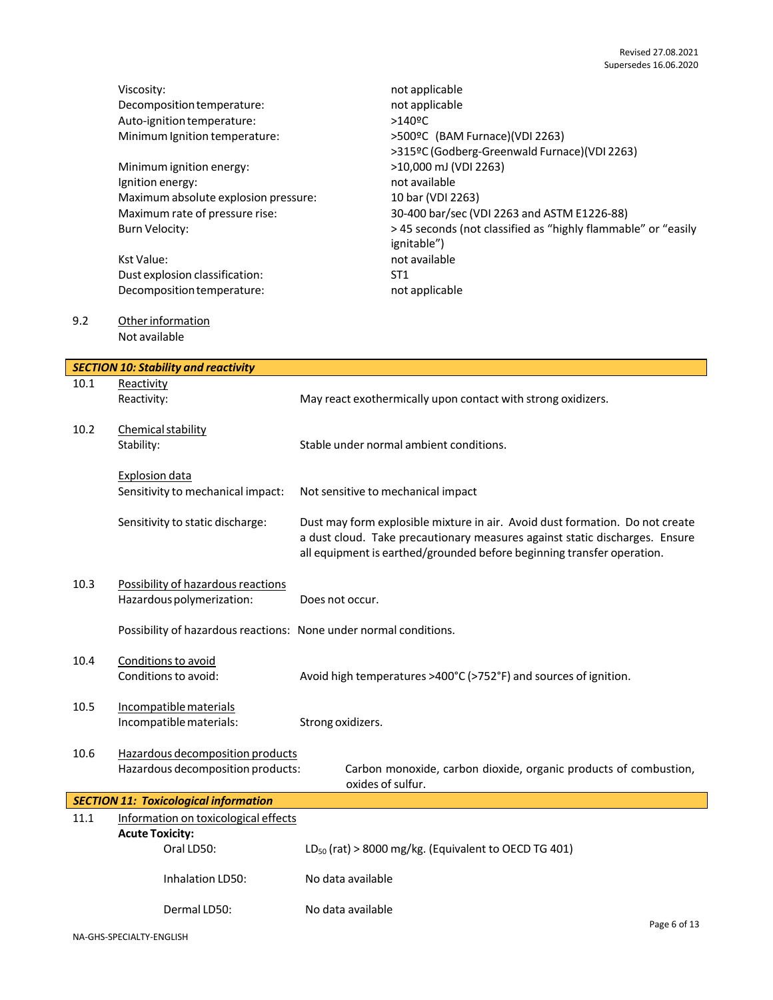|      | Viscosity:<br>Decomposition temperature:<br>Auto-ignition temperature:<br>Minimum Ignition temperature:<br>Minimum ignition energy:<br>Ignition energy:<br>Maximum absolute explosion pressure:<br>Maximum rate of pressure rise:<br><b>Burn Velocity:</b> | not applicable<br>not applicable<br>$>140$ <sup>o</sup> C<br>>500ºC (BAM Furnace)(VDI 2263)<br>>315ºC (Godberg-Greenwald Furnace)(VDI 2263)<br>>10,000 mJ (VDI 2263)<br>not available<br>10 bar (VDI 2263)<br>30-400 bar/sec (VDI 2263 and ASTM E1226-88)<br>> 45 seconds (not classified as "highly flammable" or "easily |
|------|------------------------------------------------------------------------------------------------------------------------------------------------------------------------------------------------------------------------------------------------------------|----------------------------------------------------------------------------------------------------------------------------------------------------------------------------------------------------------------------------------------------------------------------------------------------------------------------------|
|      | <b>Kst Value:</b><br>Dust explosion classification:<br>Decomposition temperature:                                                                                                                                                                          | ignitable")<br>not available<br>ST <sub>1</sub><br>not applicable                                                                                                                                                                                                                                                          |
| 9.2  | Other information<br>Not available                                                                                                                                                                                                                         |                                                                                                                                                                                                                                                                                                                            |
|      | <b>SECTION 10: Stability and reactivity</b>                                                                                                                                                                                                                |                                                                                                                                                                                                                                                                                                                            |
| 10.1 | Reactivity<br>Reactivity:                                                                                                                                                                                                                                  | May react exothermically upon contact with strong oxidizers.                                                                                                                                                                                                                                                               |
| 10.2 | Chemical stability<br>Stability:                                                                                                                                                                                                                           | Stable under normal ambient conditions.                                                                                                                                                                                                                                                                                    |
|      | <b>Explosion data</b><br>Sensitivity to mechanical impact:                                                                                                                                                                                                 | Not sensitive to mechanical impact                                                                                                                                                                                                                                                                                         |
|      | Sensitivity to static discharge:                                                                                                                                                                                                                           | Dust may form explosible mixture in air. Avoid dust formation. Do not create<br>a dust cloud. Take precautionary measures against static discharges. Ensure<br>all equipment is earthed/grounded before beginning transfer operation.                                                                                      |
| 10.3 | Possibility of hazardous reactions<br>Hazardous polymerization:                                                                                                                                                                                            | Does not occur.                                                                                                                                                                                                                                                                                                            |
|      | Possibility of hazardous reactions: None under normal conditions.                                                                                                                                                                                          |                                                                                                                                                                                                                                                                                                                            |
| 10.4 | Conditions to avoid<br>Conditions to avoid:                                                                                                                                                                                                                | Avoid high temperatures >400°C (>752°F) and sources of ignition.                                                                                                                                                                                                                                                           |
| 10.5 | Incompatible materials<br>Incompatible materials:                                                                                                                                                                                                          | Strong oxidizers.                                                                                                                                                                                                                                                                                                          |
| 10.6 | Hazardous decomposition products<br>Hazardous decomposition products:                                                                                                                                                                                      | Carbon monoxide, carbon dioxide, organic products of combustion,<br>oxides of sulfur.                                                                                                                                                                                                                                      |
|      | <b>SECTION 11: Toxicological information</b>                                                                                                                                                                                                               |                                                                                                                                                                                                                                                                                                                            |
| 11.1 | Information on toxicological effects<br><b>Acute Toxicity:</b><br>Oral LD50:                                                                                                                                                                               | LD <sub>50</sub> (rat) > 8000 mg/kg. (Equivalent to OECD TG 401)                                                                                                                                                                                                                                                           |
|      | Inhalation LD50:                                                                                                                                                                                                                                           | No data available                                                                                                                                                                                                                                                                                                          |
|      | Dermal LD50:                                                                                                                                                                                                                                               | No data available                                                                                                                                                                                                                                                                                                          |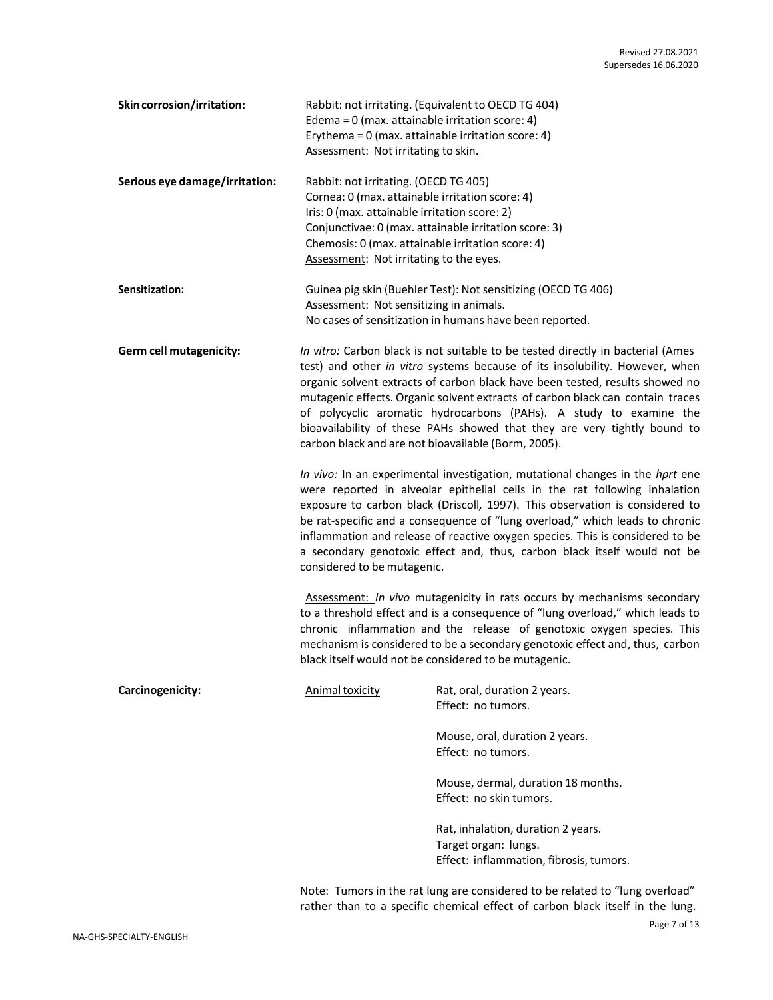| Skin corrosion/irritation:     | Edema = $0$ (max. attainable irritation score: 4)<br>Assessment: Not irritating to skin.                                                                                                                                                  | Rabbit: not irritating. (Equivalent to OECD TG 404)<br>Erythema = 0 (max. attainable irritation score: 4)                                                                                                                                                                                                                                                                                                                                                                                                                                                                                                                                                                                                                                                                                                                                                                                                                                                                                                                                                                                                                                                                                                                                                                                                                                                                                                            |
|--------------------------------|-------------------------------------------------------------------------------------------------------------------------------------------------------------------------------------------------------------------------------------------|----------------------------------------------------------------------------------------------------------------------------------------------------------------------------------------------------------------------------------------------------------------------------------------------------------------------------------------------------------------------------------------------------------------------------------------------------------------------------------------------------------------------------------------------------------------------------------------------------------------------------------------------------------------------------------------------------------------------------------------------------------------------------------------------------------------------------------------------------------------------------------------------------------------------------------------------------------------------------------------------------------------------------------------------------------------------------------------------------------------------------------------------------------------------------------------------------------------------------------------------------------------------------------------------------------------------------------------------------------------------------------------------------------------------|
| Serious eye damage/irritation: | Rabbit: not irritating. (OECD TG 405)<br>Cornea: 0 (max. attainable irritation score: 4)<br>Iris: 0 (max. attainable irritation score: 2)<br>Chemosis: 0 (max. attainable irritation score: 4)<br>Assessment: Not irritating to the eyes. | Conjunctivae: 0 (max. attainable irritation score: 3)                                                                                                                                                                                                                                                                                                                                                                                                                                                                                                                                                                                                                                                                                                                                                                                                                                                                                                                                                                                                                                                                                                                                                                                                                                                                                                                                                                |
| Sensitization:                 | Assessment: Not sensitizing in animals.                                                                                                                                                                                                   | Guinea pig skin (Buehler Test): Not sensitizing (OECD TG 406)<br>No cases of sensitization in humans have been reported.                                                                                                                                                                                                                                                                                                                                                                                                                                                                                                                                                                                                                                                                                                                                                                                                                                                                                                                                                                                                                                                                                                                                                                                                                                                                                             |
| Germ cell mutagenicity:        | considered to be mutagenic.                                                                                                                                                                                                               | In vitro: Carbon black is not suitable to be tested directly in bacterial (Ames<br>test) and other in vitro systems because of its insolubility. However, when<br>organic solvent extracts of carbon black have been tested, results showed no<br>mutagenic effects. Organic solvent extracts of carbon black can contain traces<br>of polycyclic aromatic hydrocarbons (PAHs). A study to examine the<br>bioavailability of these PAHs showed that they are very tightly bound to<br>carbon black and are not bioavailable (Borm, 2005).<br>In vivo: In an experimental investigation, mutational changes in the hprt ene<br>were reported in alveolar epithelial cells in the rat following inhalation<br>exposure to carbon black (Driscoll, 1997). This observation is considered to<br>be rat-specific and a consequence of "lung overload," which leads to chronic<br>inflammation and release of reactive oxygen species. This is considered to be<br>a secondary genotoxic effect and, thus, carbon black itself would not be<br>Assessment: In vivo mutagenicity in rats occurs by mechanisms secondary<br>to a threshold effect and is a consequence of "lung overload," which leads to<br>chronic inflammation and the release of genotoxic oxygen species. This<br>mechanism is considered to be a secondary genotoxic effect and, thus, carbon<br>black itself would not be considered to be mutagenic. |
| Carcinogenicity:               | <b>Animal toxicity</b>                                                                                                                                                                                                                    | Rat, oral, duration 2 years.<br>Effect: no tumors.<br>Mouse, oral, duration 2 years.                                                                                                                                                                                                                                                                                                                                                                                                                                                                                                                                                                                                                                                                                                                                                                                                                                                                                                                                                                                                                                                                                                                                                                                                                                                                                                                                 |
|                                |                                                                                                                                                                                                                                           | Effect: no tumors.                                                                                                                                                                                                                                                                                                                                                                                                                                                                                                                                                                                                                                                                                                                                                                                                                                                                                                                                                                                                                                                                                                                                                                                                                                                                                                                                                                                                   |
|                                |                                                                                                                                                                                                                                           | Mouse, dermal, duration 18 months.<br>Effect: no skin tumors.                                                                                                                                                                                                                                                                                                                                                                                                                                                                                                                                                                                                                                                                                                                                                                                                                                                                                                                                                                                                                                                                                                                                                                                                                                                                                                                                                        |
|                                |                                                                                                                                                                                                                                           | Rat, inhalation, duration 2 years.<br>Target organ: lungs.<br>Effect: inflammation, fibrosis, tumors.                                                                                                                                                                                                                                                                                                                                                                                                                                                                                                                                                                                                                                                                                                                                                                                                                                                                                                                                                                                                                                                                                                                                                                                                                                                                                                                |
|                                |                                                                                                                                                                                                                                           |                                                                                                                                                                                                                                                                                                                                                                                                                                                                                                                                                                                                                                                                                                                                                                                                                                                                                                                                                                                                                                                                                                                                                                                                                                                                                                                                                                                                                      |

Note: Tumors in the rat lung are considered to be related to "lung overload" rather than to a specific chemical effect of carbon black itself in the lung.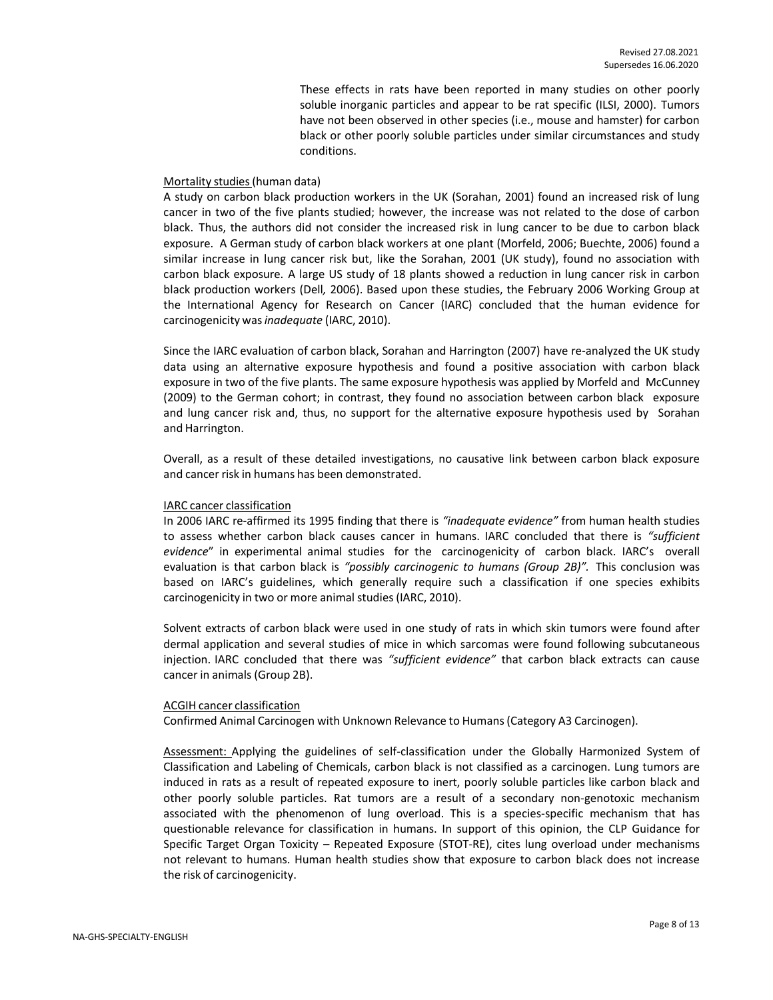These effects in rats have been reported in many studies on other poorly soluble inorganic particles and appear to be rat specific (ILSI, 2000). Tumors have not been observed in other species (i.e., mouse and hamster) for carbon black or other poorly soluble particles under similar circumstances and study conditions.

#### Mortality studies(human data)

A study on carbon black production workers in the UK (Sorahan, 2001) found an increased risk of lung cancer in two of the five plants studied; however, the increase was not related to the dose of carbon black. Thus, the authors did not consider the increased risk in lung cancer to be due to carbon black exposure. A German study of carbon black workers at one plant (Morfeld, 2006; Buechte, 2006) found a similar increase in lung cancer risk but, like the Sorahan, 2001 (UK study), found no association with carbon black exposure. A large US study of 18 plants showed a reduction in lung cancer risk in carbon black production workers (Dell*,* 2006). Based upon these studies, the February 2006 Working Group at the International Agency for Research on Cancer (IARC) concluded that the human evidence for carcinogenicity was*inadequate* (IARC, 2010).

Since the IARC evaluation of carbon black, Sorahan and Harrington (2007) have re-analyzed the UK study data using an alternative exposure hypothesis and found a positive association with carbon black exposure in two of the five plants. The same exposure hypothesis was applied by Morfeld and McCunney (2009) to the German cohort; in contrast, they found no association between carbon black exposure and lung cancer risk and, thus, no support for the alternative exposure hypothesis used by Sorahan and Harrington.

Overall, as a result of these detailed investigations, no causative link between carbon black exposure and cancer risk in humans has been demonstrated.

#### IARC cancer classification

In 2006 IARC re-affirmed its 1995 finding that there is *"inadequate evidence"* from human health studies to assess whether carbon black causes cancer in humans. IARC concluded that there is *"sufficient evidence*" in experimental animal studies for the carcinogenicity of carbon black. IARC's overall evaluation is that carbon black is *"possibly carcinogenic to humans (Group 2B)".* This conclusion was based on IARC's guidelines, which generally require such a classification if one species exhibits carcinogenicity in two or more animal studies (IARC, 2010).

Solvent extracts of carbon black were used in one study of rats in which skin tumors were found after dermal application and several studies of mice in which sarcomas were found following subcutaneous injection. IARC concluded that there was *"sufficient evidence"* that carbon black extracts can cause cancer in animals(Group 2B).

#### ACGIH cancer classification

Confirmed Animal Carcinogen with Unknown Relevance to Humans(Category A3 Carcinogen).

Assessment: Applying the guidelines of self-classification under the Globally Harmonized System of Classification and Labeling of Chemicals, carbon black is not classified as a carcinogen. Lung tumors are induced in rats as a result of repeated exposure to inert, poorly soluble particles like carbon black and other poorly soluble particles. Rat tumors are a result of a secondary non-genotoxic mechanism associated with the phenomenon of lung overload. This is a species-specific mechanism that has questionable relevance for classification in humans. In support of this opinion, the CLP Guidance for Specific Target Organ Toxicity – Repeated Exposure (STOT-RE), cites lung overload under mechanisms not relevant to humans. Human health studies show that exposure to carbon black does not increase the risk of carcinogenicity.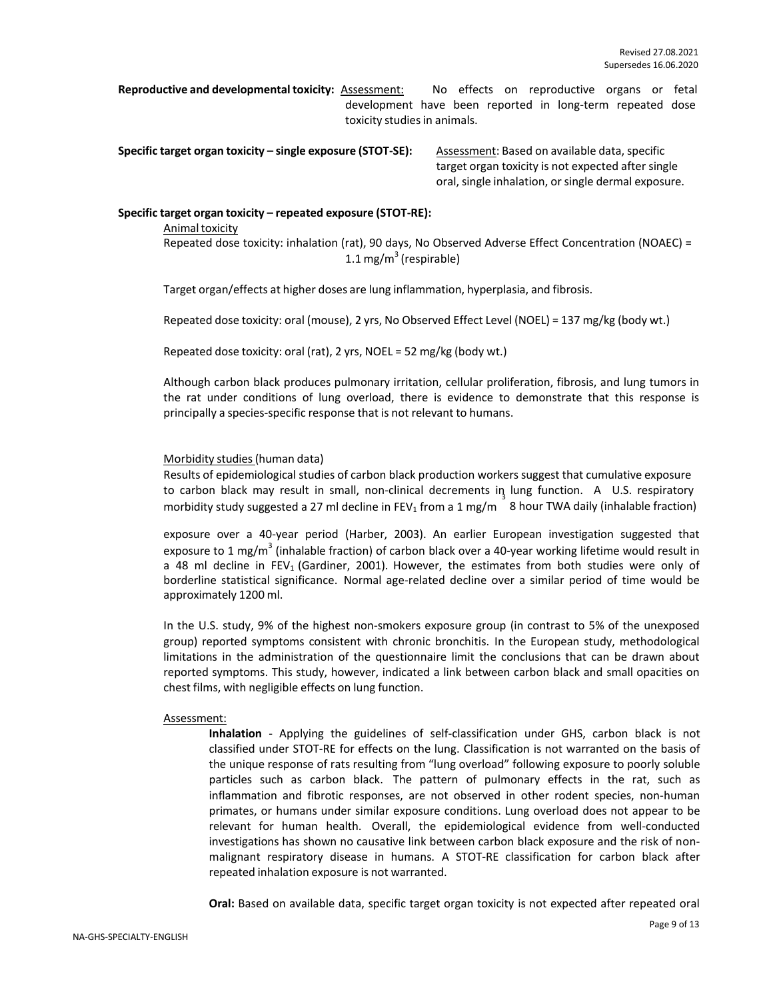**Reproductive and developmental toxicity:** Assessment: No effects on reproductive organs or fetal development have been reported in long-term repeated dose toxicity studies in animals.

**Specific target organ toxicity – single exposure (STOT-SE): Assessment: Based on available data, specific** 

target organ toxicity is not expected after single oral, single inhalation, or single dermal exposure.

#### **Specific target organ toxicity – repeated exposure (STOT-RE):**

Animal toxicity Repeated dose toxicity: inhalation (rat), 90 days, No Observed Adverse Effect Concentration (NOAEC) = 1.1 mg/m $3$  (respirable)

Target organ/effects at higher doses are lung inflammation, hyperplasia, and fibrosis.

Repeated dose toxicity: oral (mouse), 2 yrs, No Observed Effect Level (NOEL) = 137 mg/kg (body wt.)

Repeated dose toxicity: oral (rat), 2 yrs, NOEL = 52 mg/kg (body wt.)

Although carbon black produces pulmonary irritation, cellular proliferation, fibrosis, and lung tumors in the rat under conditions of lung overload, there is evidence to demonstrate that this response is principally a species-specific response that is not relevant to humans.

#### Morbidity studies(human data)

Results of epidemiological studies of carbon black production workers suggest that cumulative exposure to carbon black may result in small, non-clinical decrements in lung function. A U.S. respiratory morbidity study suggested a 27 ml decline in FEV<sub>1</sub> from a 1 mg/m 8 hour TWA daily (inhalable fraction)

exposure over a 40-year period (Harber, 2003). An earlier European investigation suggested that exposure to 1 mg/m<sup>3</sup> (inhalable fraction) of carbon black over a 40-year working lifetime would result in a 48 ml decline in FEV<sub>1</sub> (Gardiner, 2001). However, the estimates from both studies were only of borderline statistical significance. Normal age-related decline over a similar period of time would be approximately 1200 ml.

In the U.S. study, 9% of the highest non-smokers exposure group (in contrast to 5% of the unexposed group) reported symptoms consistent with chronic bronchitis. In the European study, methodological limitations in the administration of the questionnaire limit the conclusions that can be drawn about reported symptoms. This study, however, indicated a link between carbon black and small opacities on chest films, with negligible effects on lung function.

#### Assessment:

**Inhalation** - Applying the guidelines of self-classification under GHS, carbon black is not classified under STOT-RE for effects on the lung. Classification is not warranted on the basis of the unique response of rats resulting from "lung overload" following exposure to poorly soluble particles such as carbon black. The pattern of pulmonary effects in the rat, such as inflammation and fibrotic responses, are not observed in other rodent species, non-human primates, or humans under similar exposure conditions. Lung overload does not appear to be relevant for human health. Overall, the epidemiological evidence from well-conducted investigations has shown no causative link between carbon black exposure and the risk of nonmalignant respiratory disease in humans. A STOT-RE classification for carbon black after repeated inhalation exposure is not warranted.

**Oral:** Based on available data, specific target organ toxicity is not expected after repeated oral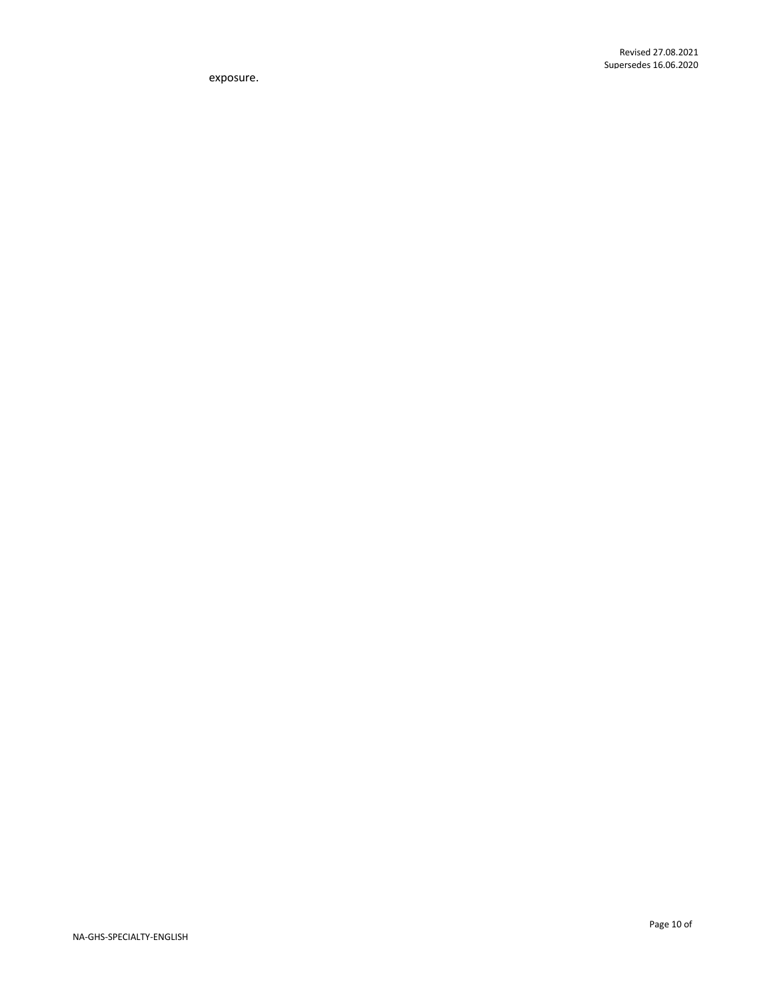exposure.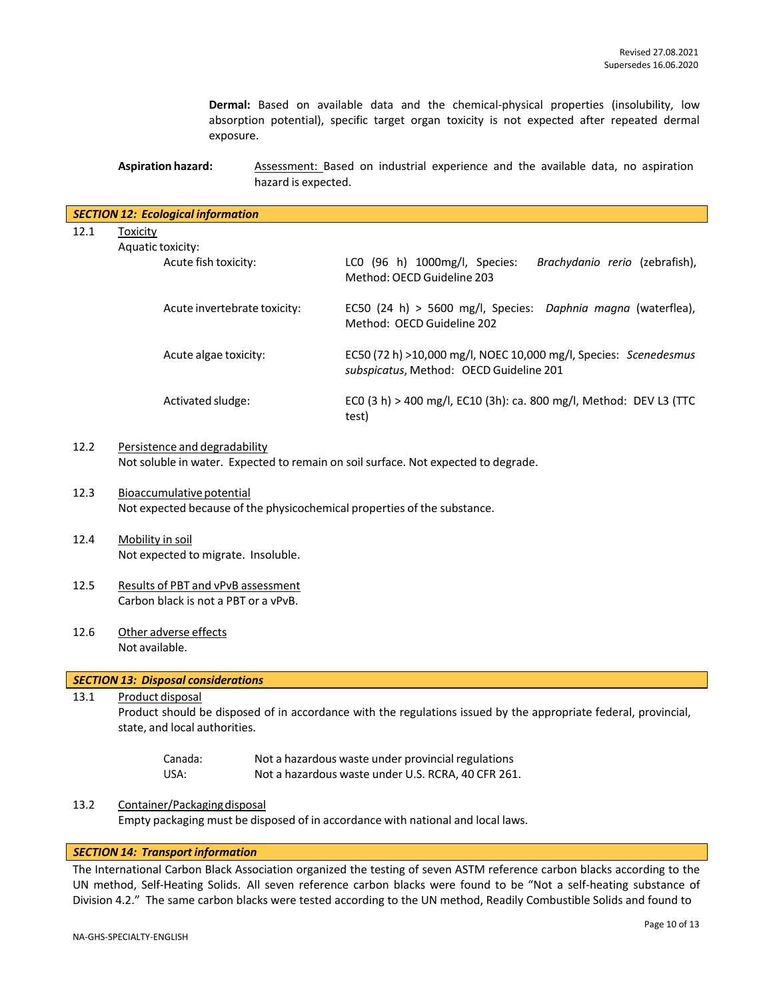**Dermal:** Based on available data and the chemical-physical properties (insolubility, low absorption potential), specific target organ toxicity is not expected after repeated dermal exposure.

## **Aspiration hazard:** Assessment: Based on industrial experience and the available data, no aspiration hazard is expected.

|      | <b>SECTION 12: Ecological information</b>                                                                                                                            |                                                                                                             |  |  |  |
|------|----------------------------------------------------------------------------------------------------------------------------------------------------------------------|-------------------------------------------------------------------------------------------------------------|--|--|--|
| 12.1 | <b>Toxicity</b>                                                                                                                                                      |                                                                                                             |  |  |  |
|      | Aquatic toxicity:                                                                                                                                                    |                                                                                                             |  |  |  |
|      | Acute fish toxicity:                                                                                                                                                 | LC0 (96 h) 1000mg/l, Species:<br>Brachydanio rerio (zebrafish),<br>Method: OECD Guideline 203               |  |  |  |
|      | Acute invertebrate toxicity:                                                                                                                                         | EC50 (24 h) > 5600 mg/l, Species: Daphnia magna (waterflea),<br>Method: OECD Guideline 202                  |  |  |  |
|      | Acute algae toxicity:                                                                                                                                                | EC50 (72 h) >10,000 mg/l, NOEC 10,000 mg/l, Species: Scenedesmus<br>subspicatus, Method: OECD Guideline 201 |  |  |  |
|      | Activated sludge:                                                                                                                                                    | ECO (3 h) > 400 mg/l, EC10 (3h): ca. 800 mg/l, Method: DEV L3 (TTC<br>test)                                 |  |  |  |
| 12.2 | Persistence and degradability<br>Not soluble in water. Expected to remain on soil surface. Not expected to degrade.                                                  |                                                                                                             |  |  |  |
| 12.3 | Bioaccumulative potential<br>Not expected because of the physicochemical properties of the substance.                                                                |                                                                                                             |  |  |  |
| 12.4 | Mobility in soil<br>Not expected to migrate. Insoluble.                                                                                                              |                                                                                                             |  |  |  |
| 12.5 | Results of PBT and vPvB assessment<br>Carbon black is not a PBT or a vPvB.                                                                                           |                                                                                                             |  |  |  |
| 12.6 | Other adverse effects<br>Not available.                                                                                                                              |                                                                                                             |  |  |  |
|      | <b>SECTION 13: Disposal considerations</b>                                                                                                                           |                                                                                                             |  |  |  |
| 13.1 | Product disposal<br>Product should be disposed of in accordance with the regulations issued by the appropriate federal, provincial,<br>state, and local authorities. |                                                                                                             |  |  |  |
|      | Canada:<br>USA:                                                                                                                                                      | Not a hazardous waste under provincial regulations<br>Not a hazardous waste under U.S. RCRA, 40 CFR 261.    |  |  |  |
|      |                                                                                                                                                                      |                                                                                                             |  |  |  |

13.2 Container/Packagingdisposal Empty packaging must be disposed of in accordance with national and local laws.

## *SECTION 14: Transport information*

The International Carbon Black Association organized the testing of seven ASTM reference carbon blacks according to the UN method, Self-Heating Solids. All seven reference carbon blacks were found to be "Not a self-heating substance of Division 4.2." The same carbon blacks were tested according to the UN method, Readily Combustible Solids and found to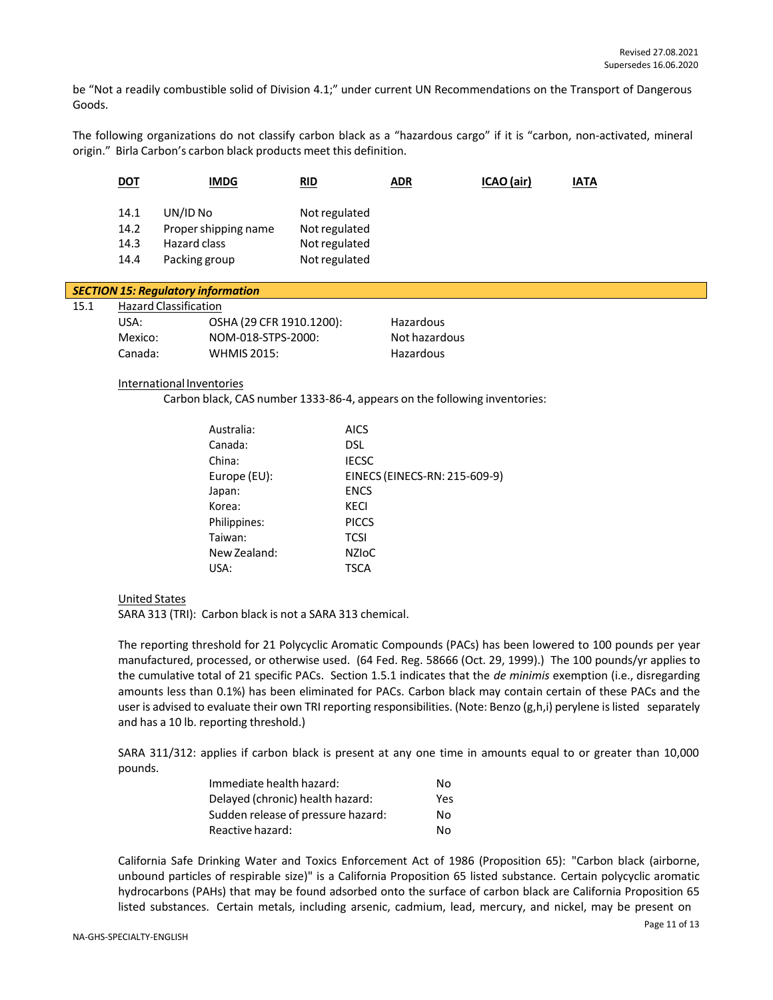be "Not a readily combustible solid of Division 4.1;" under current UN Recommendations on the Transport of Dangerous Goods.

The following organizations do not classify carbon black as a "hazardous cargo" if it is "carbon, non-activated, mineral origin." Birla Carbon's carbon black products meet this definition.

| <u>DOT</u>                   | <b>IMDG</b>                                                       | RID                                                              | <u>ADR</u> | ICAO (air) | <u>IATA</u> |
|------------------------------|-------------------------------------------------------------------|------------------------------------------------------------------|------------|------------|-------------|
| 14.1<br>14.2<br>14.3<br>14.4 | UN/ID No<br>Proper shipping name<br>Hazard class<br>Packing group | Not regulated<br>Not regulated<br>Not regulated<br>Not regulated |            |            |             |

#### *SECTION 15: Regulatory information*  $15.1$

| - Hazard Classification |                          |               |  |  |  |
|-------------------------|--------------------------|---------------|--|--|--|
| USA:                    | OSHA (29 CFR 1910.1200): | Hazardous     |  |  |  |
| Mexico:                 | NOM-018-STPS-2000:       | Not hazardous |  |  |  |
| Canada:                 | <b>WHMIS 2015:</b>       | Hazardous     |  |  |  |

#### International Inventories

Carbon black, CAS number 1333-86-4, appears on the following inventories:

| Australia:   | AICS                          |
|--------------|-------------------------------|
| Canada:      | DSL                           |
| China:       | <b>IECSC</b>                  |
| Europe (EU): | EINECS (EINECS-RN: 215-609-9) |
| Japan:       | <b>ENCS</b>                   |
| Korea:       | KECI                          |
| Philippines: | <b>PICCS</b>                  |
| Taiwan:      | <b>TCSI</b>                   |
| New Zealand: | <b>NZIOC</b>                  |
| USA:         | TSCA                          |

# United States

SARA 313 (TRI): Carbon black is not a SARA 313 chemical.

The reporting threshold for 21 Polycyclic Aromatic Compounds (PACs) has been lowered to 100 pounds per year manufactured, processed, or otherwise used. (64 Fed. Reg. 58666 (Oct. 29, 1999).) The 100 pounds/yr applies to the cumulative total of 21 specific PACs. Section 1.5.1 indicates that the *de minimis* exemption (i.e., disregarding amounts less than 0.1%) has been eliminated for PACs. Carbon black may contain certain of these PACs and the user is advised to evaluate their own TRI reporting responsibilities. (Note: Benzo (g,h,i) perylene is listed separately and has a 10 lb. reporting threshold.)

SARA 311/312: applies if carbon black is present at any one time in amounts equal to or greater than 10,000 pounds.

| Immediate health hazard:           | Nο  |
|------------------------------------|-----|
| Delayed (chronic) health hazard:   | Yes |
| Sudden release of pressure hazard: | Nο  |
| Reactive hazard:                   | N٥  |

California Safe Drinking Water and Toxics Enforcement Act of 1986 (Proposition 65): "Carbon black (airborne, unbound particles of respirable size)" is a California Proposition 65 listed substance. Certain polycyclic aromatic hydrocarbons (PAHs) that may be found adsorbed onto the surface of carbon black are California Proposition 65 listed substances. Certain metals, including arsenic, cadmium, lead, mercury, and nickel, may be present on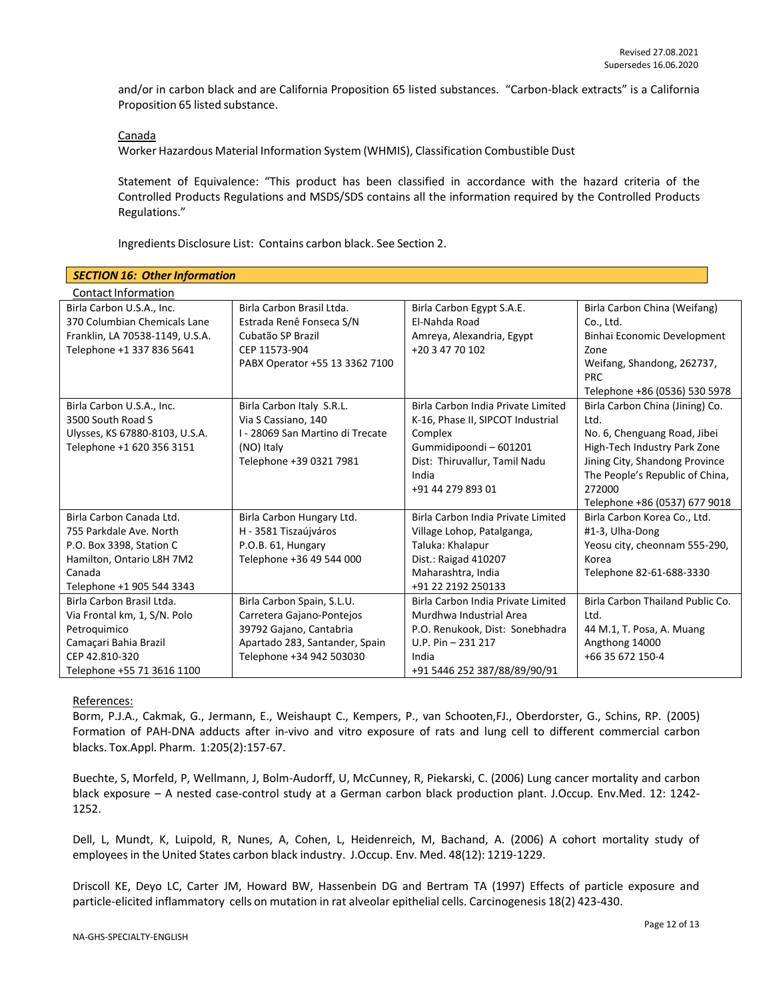and/or in carbon black and are California Proposition 65 listed substances. "Carbon-black extracts" is a California Proposition 65 listed substance.

#### Canada

Worker Hazardous Material Information System (WHMIS), Classification Combustible Dust

Statement of Equivalence: "This product has been classified in accordance with the hazard criteria of the Controlled Products Regulations and MSDS/SDS contains all the information required by the Controlled Products Regulations."

Ingredients Disclosure List: Contains carbon black. See Section 2.

| <b>SECTION 16: Other Information</b> |                                  |                                    |                                  |  |
|--------------------------------------|----------------------------------|------------------------------------|----------------------------------|--|
| Contact Information                  |                                  |                                    |                                  |  |
| Birla Carbon U.S.A., Inc.            | Birla Carbon Brasil Ltda.        | Birla Carbon Egypt S.A.E.          | Birla Carbon China (Weifang)     |  |
| 370 Columbian Chemicals Lane         | Estrada Renê Fonseca S/N         | El-Nahda Road                      | Co., Ltd.                        |  |
| Franklin, LA 70538-1149, U.S.A.      | Cubatão SP Brazil                | Amreya, Alexandria, Egypt          | Binhai Economic Development      |  |
| Telephone +1 337 836 5641            | CEP 11573-904                    | +20 3 47 70 102                    | Zone                             |  |
|                                      | PABX Operator +55 13 3362 7100   |                                    | Weifang, Shandong, 262737,       |  |
|                                      |                                  |                                    | <b>PRC</b>                       |  |
|                                      |                                  |                                    | Telephone +86 (0536) 530 5978    |  |
| Birla Carbon U.S.A., Inc.            | Birla Carbon Italy S.R.L.        | Birla Carbon India Private Limited | Birla Carbon China (Jining) Co.  |  |
| 3500 South Road S                    | Via S Cassiano, 140              | K-16, Phase II, SIPCOT Industrial  | Ltd.                             |  |
| Ulysses, KS 67880-8103, U.S.A.       | I - 28069 San Martino di Trecate | Complex                            | No. 6, Chenguang Road, Jibei     |  |
| Telephone +1 620 356 3151            | (NO) Italy                       | Gummidipoondi-601201               | High-Tech Industry Park Zone     |  |
|                                      | Telephone +39 0321 7981          | Dist: Thiruvallur, Tamil Nadu      | Jining City, Shandong Province   |  |
|                                      |                                  | India                              | The People's Republic of China,  |  |
|                                      |                                  | +91 44 279 893 01                  | 272000                           |  |
|                                      |                                  |                                    | Telephone +86 (0537) 677 9018    |  |
| Birla Carbon Canada Ltd.             | Birla Carbon Hungary Ltd.        | Birla Carbon India Private Limited | Birla Carbon Korea Co., Ltd.     |  |
| 755 Parkdale Ave. North              | H - 3581 Tiszaújváros            | Village Lohop, Patalganga,         | #1-3, Ulha-Dong                  |  |
| P.O. Box 3398, Station C             | P.O.B. 61, Hungary               | Taluka: Khalapur                   | Yeosu city, cheonnam 555-290,    |  |
| Hamilton, Ontario L8H 7M2            | Telephone +36 49 544 000         | Dist.: Raigad 410207               | Korea                            |  |
| Canada                               |                                  | Maharashtra, India                 | Telephone 82-61-688-3330         |  |
| Telephone +1 905 544 3343            |                                  | +91 22 2192 250133                 |                                  |  |
| Birla Carbon Brasil Ltda.            | Birla Carbon Spain, S.L.U.       | Birla Carbon India Private Limited | Birla Carbon Thailand Public Co. |  |
| Via Frontal km, 1, S/N. Polo         | Carretera Gajano-Pontejos        | Murdhwa Industrial Area            | Ltd.                             |  |
| Petroquimico                         | 39792 Gajano, Cantabria          | P.O. Renukook, Dist: Sonebhadra    | 44 M.1, T. Posa, A. Muang        |  |
| Camaçari Bahia Brazil                | Apartado 283, Santander, Spain   | $U.P. Pin - 231217$                | Angthong 14000                   |  |
| CEP 42.810-320                       | Telephone +34 942 503030         | India                              | +66 35 672 150-4                 |  |
| Telephone +55 71 3616 1100           |                                  | +91 5446 252 387/88/89/90/91       |                                  |  |

#### References:

Borm, P.J.A., Cakmak, G., Jermann, E., Weishaupt C., Kempers, P., van Schooten,FJ., Oberdorster, G., Schins, RP. (2005) Formation of PAH-DNA adducts after in-vivo and vitro exposure of rats and lung cell to different commercial carbon blacks. Tox.Appl. Pharm. 1:205(2):157-67.

Buechte, S, Morfeld, P, Wellmann, J, Bolm-Audorff, U, McCunney, R, Piekarski, C. (2006) Lung cancer mortality and carbon black exposure – A nested case-control study at a German carbon black production plant. J.Occup. Env.Med. 12: 1242- 1252.

Dell, L, Mundt, K, Luipold, R, Nunes, A, Cohen, L, Heidenreich, M, Bachand, A. (2006) A cohort mortality study of employeesin the United States carbon black industry. J.Occup. Env. Med. 48(12): 1219-1229.

Driscoll KE, Deyo LC, Carter JM, Howard BW, Hassenbein DG and Bertram TA (1997) Effects of particle exposure and particle-elicited inflammatory cells on mutation in rat alveolar epithelial cells. Carcinogenesis 18(2) 423-430.